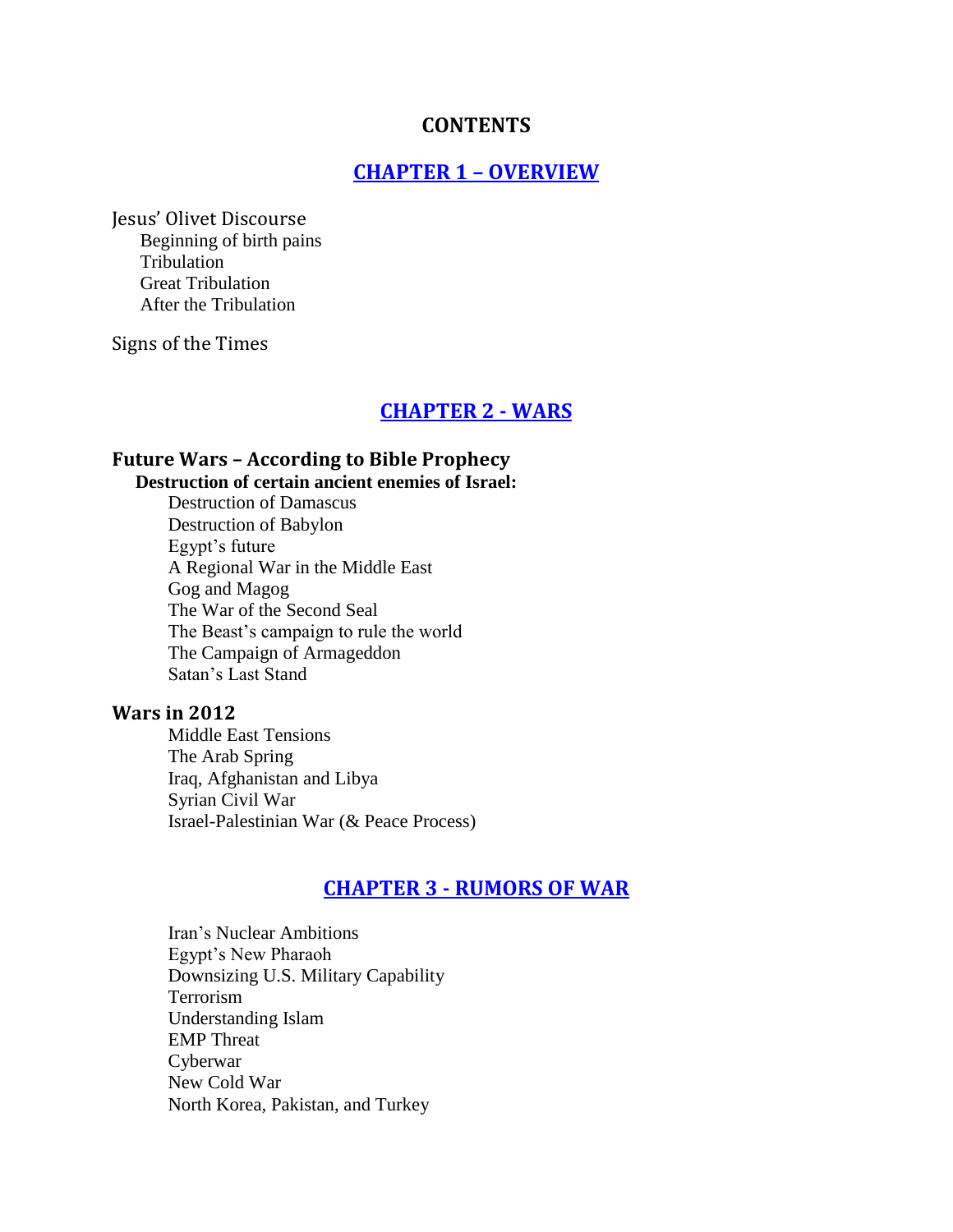#### **CONTENTS**

### **CHAPTER 1 – OVERVIEW**

Jesus' Olivet Discourse Beginning of birth pains Tribulation Great Tribulation After the Tribulation

Signs of the Times

#### **CHAPTER 2 - WARS**

### **Future Wars – According to Bible Prophecy**

**Destruction of certain ancient enemies of Israel:** Destruction of Damascus Destruction of Babylon

Egypt's future A Regional War in the Middle East Gog and Magog The War of the Second Seal The Beast's campaign to rule the world The Campaign of Armageddon Satan's Last Stand

#### **Wars in 2012**

Middle East Tensions The Arab Spring Iraq, Afghanistan and Libya Syrian Civil War Israel-Palestinian War (& Peace Process)

#### **CHAPTER 3 - RUMORS OF WAR**

Iran's Nuclear Ambitions Egypt's New Pharaoh Downsizing U.S. Military Capability Terrorism Understanding Islam EMP Threat Cyberwar New Cold War North Korea, Pakistan, and Turkey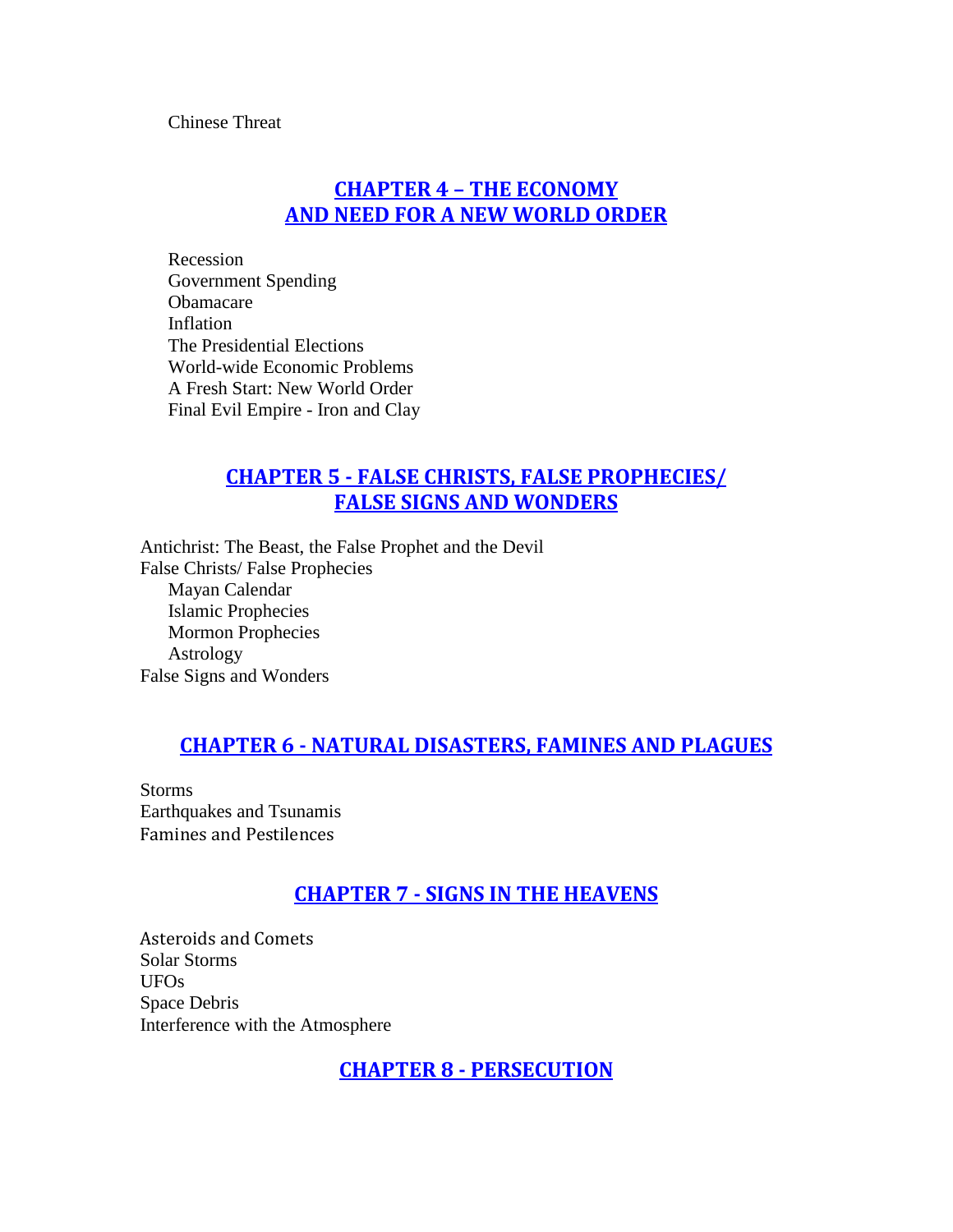Chinese Threat

## **CHAPTER 4 – THE ECONOMY AND NEED FOR A NEW WORLD ORDER**

Recession Government Spending Obamacare Inflation The Presidential Elections World-wide Economic Problems A Fresh Start: New World Order Final Evil Empire - Iron and Clay

## **CHAPTER 5 - FALSE CHRISTS, FALSE PROPHECIES/ FALSE SIGNS AND WONDERS**

Antichrist: The Beast, the False Prophet and the Devil False Christs/ False Prophecies Mayan Calendar Islamic Prophecies Mormon Prophecies Astrology False Signs and Wonders

### **CHAPTER 6 - NATURAL DISASTERS, FAMINES AND PLAGUES**

Storms Earthquakes and Tsunamis Famines and Pestilences

### **CHAPTER 7 - SIGNS IN THE HEAVENS**

Asteroids and Comets Solar Storms UFOs Space Debris Interference with the Atmosphere

**CHAPTER 8 - PERSECUTION**